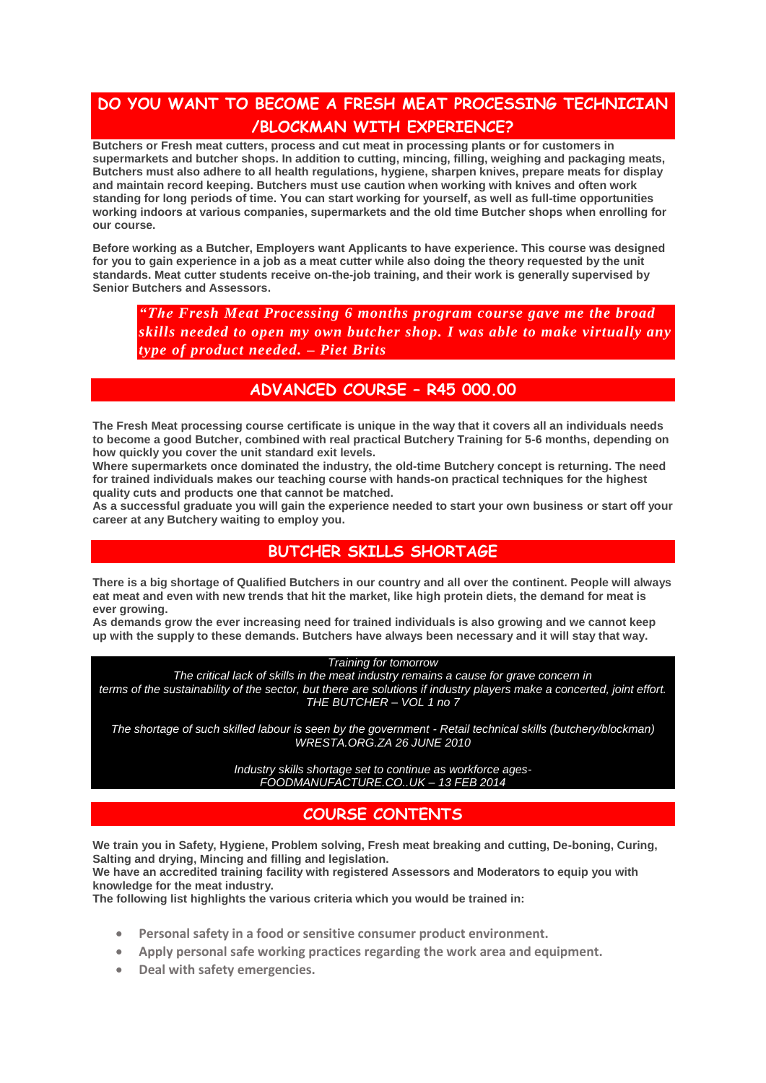## **DO YOU WANT TO BECOME A FRESH MEAT PROCESSING TECHNICIAN /BLOCKMAN WITH EXPERIENCE?**

**Butchers or Fresh meat cutters, process and cut meat in processing plants or for customers in supermarkets and butcher shops. In addition to cutting, mincing, filling, weighing and packaging meats, Butchers must also adhere to all health regulations, hygiene, sharpen knives, prepare meats for display and maintain record keeping. Butchers must use caution when working with knives and often work standing for long periods of time. You can start working for yourself, as well as full-time opportunities working indoors at various companies, supermarkets and the old time Butcher shops when enrolling for our course.**

**Before working as a Butcher, Employers want Applicants to have experience. This course was designed for you to gain experience in a job as a meat cutter while also doing the theory requested by the unit standards. Meat cutter students receive on-the-job training, and their work is generally supervised by Senior Butchers and Assessors.** 

*"The Fresh Meat Processing 6 months program course gave me the broad skills needed to open my own butcher shop. I was able to make virtually any type of product needed. – Piet Brits*

### **ADVANCED COURSE – R45 000.00**

**The Fresh Meat processing course certificate is unique in the way that it covers all an individuals needs to become a good Butcher, combined with real practical Butchery Training for 5-6 months, depending on how quickly you cover the unit standard exit levels.**

**Where supermarkets once dominated the industry, the old-time Butchery concept is returning. The need for trained individuals makes our teaching course with hands-on practical techniques for the highest quality cuts and products one that cannot be matched.**

**As a successful graduate you will gain the experience needed to start your own business or start off your career at any Butchery waiting to employ you.**

### **BUTCHER SKILLS SHORTAGE**

**There is a big shortage of Qualified Butchers in our country and all over the continent. People will always eat meat and even with new trends that hit the market, like high protein diets, the demand for meat is ever growing.**

**As demands grow the ever increasing need for trained individuals is also growing and we cannot keep up with the supply to these demands. Butchers have always been necessary and it will stay that way.**

#### *Training for tomorrow*

*The critical lack of skills in the meat industry remains a cause for grave concern in terms of the sustainability of the sector, but there are solutions if industry players make a concerted, joint effort. THE BUTCHER – VOL 1 no 7*

*The shortage of such skilled labour is seen by the government - Retail technical skills (butchery/blockman) WRESTA.ORG.ZA 26 JUNE 2010*

> *Industry skills shortage set to continue as workforce ages-FOODMANUFACTURE.CO..UK – 13 FEB 2014*

### **COURSE CONTENTS**

**We train you in Safety, Hygiene, Problem solving, Fresh meat breaking and cutting, De-boning, Curing, Salting and drying, Mincing and filling and legislation.**

**We have an accredited training facility with registered Assessors and Moderators to equip you with knowledge for the meat industry.** 

**The following list highlights the various criteria which you would be trained in:**

- **Personal safety in a food or sensitive consumer product environment.**
- **Apply personal safe working practices regarding the work area and equipment.**
- **Deal with safety emergencies.**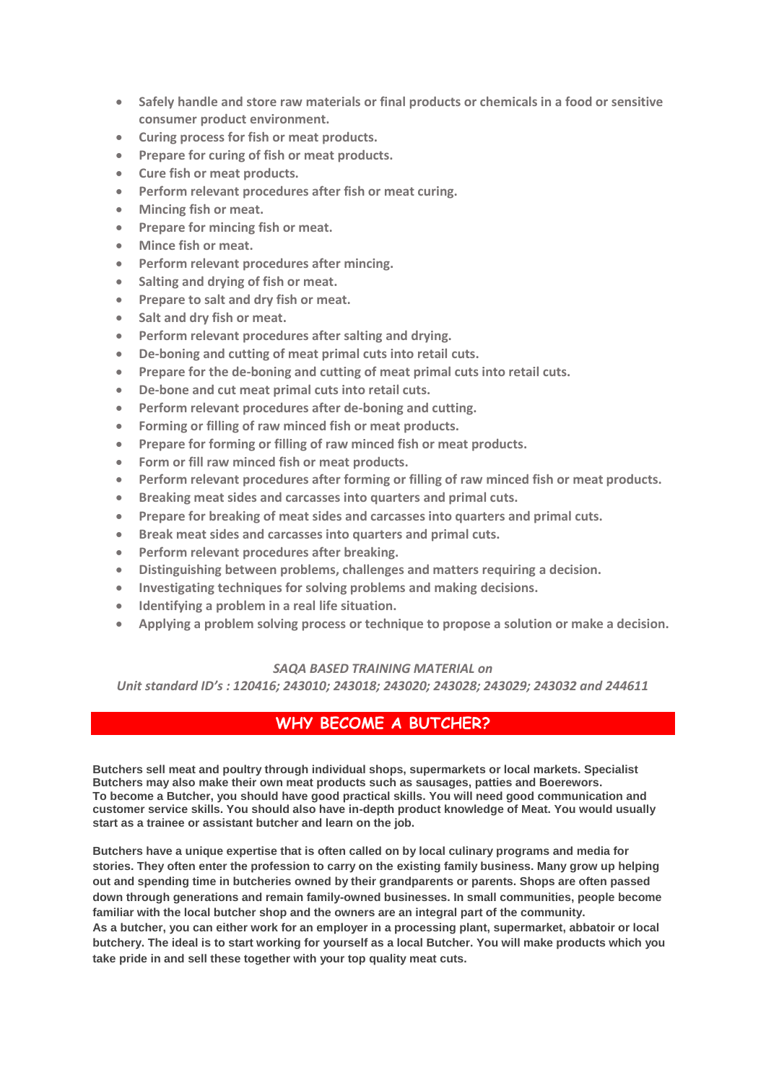- **Safely handle and store raw materials or final products or chemicals in a food or sensitive consumer product environment.**
- **Curing process for fish or meat products.**
- **Prepare for curing of fish or meat products.**
- **Cure fish or meat products.**
- **Perform relevant procedures after fish or meat curing.**
- **Mincing fish or meat.**
- **Prepare for mincing fish or meat.**
- **Mince fish or meat.**
- **Perform relevant procedures after mincing.**
- **Salting and drying of fish or meat.**
- **Prepare to salt and dry fish or meat.**
- **Salt and dry fish or meat.**
- **Perform relevant procedures after salting and drying.**
- **De-boning and cutting of meat primal cuts into retail cuts.**
- **Prepare for the de-boning and cutting of meat primal cuts into retail cuts.**
- **De-bone and cut meat primal cuts into retail cuts.**
- **Perform relevant procedures after de-boning and cutting.**
- **Forming or filling of raw minced fish or meat products.**
- **Prepare for forming or filling of raw minced fish or meat products.**
- **Form or fill raw minced fish or meat products.**
- **Perform relevant procedures after forming or filling of raw minced fish or meat products.**
- **Breaking meat sides and carcasses into quarters and primal cuts.**
- **Prepare for breaking of meat sides and carcasses into quarters and primal cuts.**
- **Break meat sides and carcasses into quarters and primal cuts.**
- **Perform relevant procedures after breaking.**
- **Distinguishing between problems, challenges and matters requiring a decision.**
- **Investigating techniques for solving problems and making decisions.**
- **Identifying a problem in a real life situation.**
- **Applying a problem solving process or technique to propose a solution or make a decision.**

#### *SAQA BASED TRAINING MATERIAL on*

*Unit standard ID's : 120416; 243010; 243018; 243020; 243028; 243029; 243032 and 244611*

### **WHY BECOME A BUTCHER?**

**Butchers sell meat and poultry through individual shops, supermarkets or local markets. Specialist Butchers may also make their own meat products such as sausages, patties and Boerewors. To become a Butcher, you should have good practical skills. You will need good communication and customer service skills. You should also have in-depth product knowledge of Meat. You would usually start as a trainee or assistant butcher and learn on the job.** 

**Butchers have a unique expertise that is often called on by local culinary programs and media for stories. They often enter the profession to carry on the existing family business. Many grow up helping out and spending time in butcheries owned by their grandparents or parents. Shops are often passed down through generations and remain family-owned businesses. In small communities, people become familiar with the local butcher shop and the owners are an integral part of the community.**

**As a butcher, you can either work for an employer in a processing plant, supermarket, abbatoir or local butchery. The ideal is to start working for yourself as a local Butcher. You will make products which you take pride in and sell these together with your top quality meat cuts.**